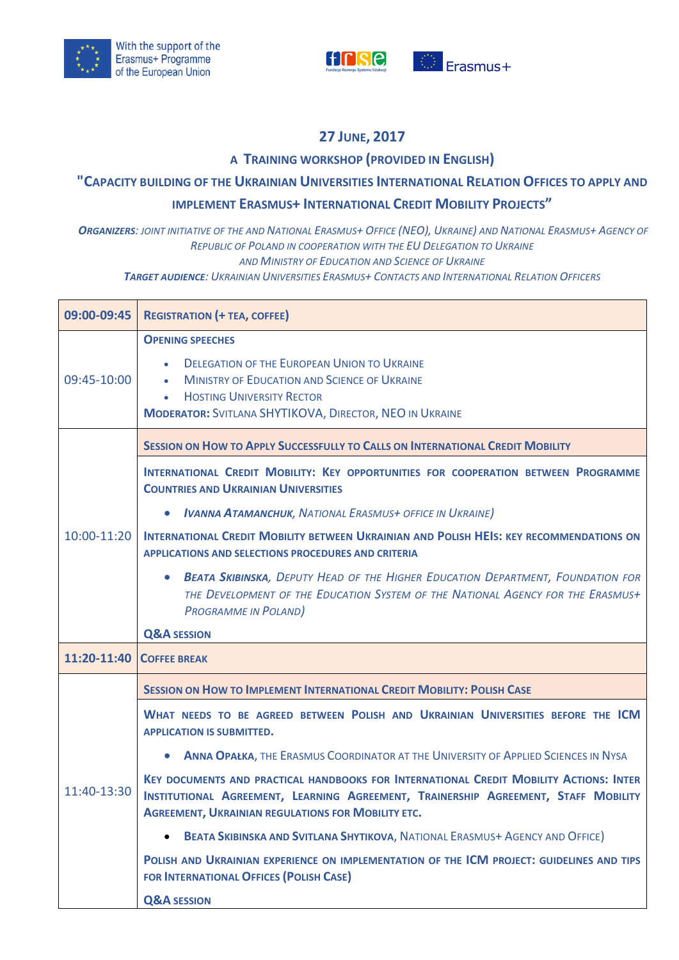



## **27 JUNE, 2017**

## **A TRAINING WORKSHOP (PROVIDED IN ENGLISH)**

## **"CAPACITY BUILDING OF THE UKRAINIAN UNIVERSITIES INTERNATIONAL RELATION OFFICES TO APPLY AND**

## **IMPLEMENT ERASMUS+ INTERNATIONAL CREDIT MOBILITY PROJECTS"**

ORGANIZERS: JOINT INITIATIVE OF THE AND NATIONAL ERASMUS+ OFFICE (NEO), UKRAINE) AND NATIONAL ERASMUS+ AGENCY OF *REPUBLIC OF POLAND IN COOPERATION WITH THE EU DELEGATION TO UKRAINE AND MINISTRY OF EDUCATION AND SCIENCE OF UKRAINE*

*TARGET AUDIENCE: UKRAINIAN UNIVERSITIES ERASMUS+ CONTACTS AND INTERNATIONAL RELATION OFFICERS*

| 09:00-09:45 | <b>REGISTRATION (+ TEA, COFFEE)</b>                                                                                                                                                                                                        |
|-------------|--------------------------------------------------------------------------------------------------------------------------------------------------------------------------------------------------------------------------------------------|
| 09:45-10:00 | <b>OPENING SPEECHES</b><br><b>DELEGATION OF THE EUROPEAN UNION TO UKRAINE</b><br><b>MINISTRY OF EDUCATION AND SCIENCE OF UKRAINE</b><br><b>HOSTING UNIVERSITY RECTOR</b><br><b>MODERATOR: SVITLANA SHYTIKOVA, DIRECTOR, NEO IN UKRAINE</b> |
| 10:00-11:20 | <b>SESSION ON HOW TO APPLY SUCCESSFULLY TO CALLS ON INTERNATIONAL CREDIT MOBILITY</b><br>INTERNATIONAL CREDIT MOBILITY: KEY OPPORTUNITIES FOR COOPERATION BETWEEN PROGRAMME<br><b>COUNTRIES AND UKRAINIAN UNIVERSITIES</b>                 |
|             | <b>IVANNA ATAMANCHUK, NATIONAL ERASMUS+ OFFICE IN UKRAINE)</b><br>$\bullet$<br>INTERNATIONAL CREDIT MOBILITY BETWEEN UKRAINIAN AND POLISH HEIS: KEY RECOMMENDATIONS ON<br><b>APPLICATIONS AND SELECTIONS PROCEDURES AND CRITERIA</b>       |
|             | <b>BEATA SKIBINSKA, DEPUTY HEAD OF THE HIGHER EDUCATION DEPARTMENT, FOUNDATION FOR</b><br>$\bullet$<br>THE DEVELOPMENT OF THE EDUCATION SYSTEM OF THE NATIONAL AGENCY FOR THE ERASMUS+<br><b>PROGRAMME IN POLAND)</b>                      |
|             | <b>Q&amp;A SESSION</b>                                                                                                                                                                                                                     |
| 11:20-11:40 | <b>COFFEE BREAK</b>                                                                                                                                                                                                                        |
| 11:40-13:30 | <b>SESSION ON HOW TO IMPLEMENT INTERNATIONAL CREDIT MOBILITY: POLISH CASE</b>                                                                                                                                                              |
|             | WHAT NEEDS TO BE AGREED BETWEEN POLISH AND UKRAINIAN UNIVERSITIES BEFORE THE ICM<br><b>APPLICATION IS SUBMITTED.</b>                                                                                                                       |
|             | ANNA OPAŁKA, THE ERASMUS COORDINATOR AT THE UNIVERSITY OF APPLIED SCIENCES IN NYSA                                                                                                                                                         |
|             | KEY DOCUMENTS AND PRACTICAL HANDBOOKS FOR INTERNATIONAL CREDIT MOBILITY ACTIONS: INTER<br>INSTITUTIONAL AGREEMENT, LEARNING AGREEMENT, TRAINERSHIP AGREEMENT, STAFF MOBILITY<br><b>AGREEMENT, UKRAINIAN REGULATIONS FOR MOBILITY ETC.</b>  |
|             | <b>BEATA SKIBINSKA AND SVITLANA SHYTIKOVA, NATIONAL ERASMUS+ AGENCY AND OFFICE)</b><br>$\bullet$                                                                                                                                           |
|             | POLISH AND UKRAINIAN EXPERIENCE ON IMPLEMENTATION OF THE ICM PROJECT: GUIDELINES AND TIPS<br>FOR INTERNATIONAL OFFICES (POLISH CASE)                                                                                                       |
|             | <b>Q&amp;A SESSION</b>                                                                                                                                                                                                                     |